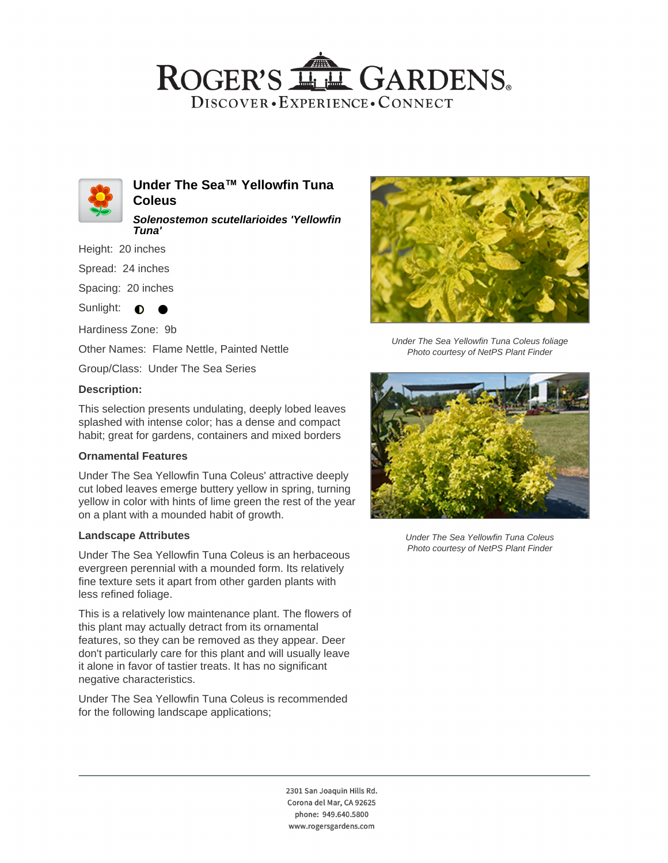## ROGER'S LL GARDENS. DISCOVER · EXPERIENCE · CONNECT



**Under The Sea™ Yellowfin Tuna Coleus**

**Solenostemon scutellarioides 'Yellowfin Tuna'**

Height: 20 inches

Spread: 24 inches

Spacing: 20 inches

Sunlight:  $\bullet$  $\bullet$ 

Hardiness Zone: 9b

Other Names: Flame Nettle, Painted Nettle

Group/Class: Under The Sea Series

#### **Description:**

This selection presents undulating, deeply lobed leaves splashed with intense color; has a dense and compact habit; great for gardens, containers and mixed borders

#### **Ornamental Features**

Under The Sea Yellowfin Tuna Coleus' attractive deeply cut lobed leaves emerge buttery yellow in spring, turning yellow in color with hints of lime green the rest of the year on a plant with a mounded habit of growth.

#### **Landscape Attributes**

Under The Sea Yellowfin Tuna Coleus is an herbaceous evergreen perennial with a mounded form. Its relatively fine texture sets it apart from other garden plants with less refined foliage.

This is a relatively low maintenance plant. The flowers of this plant may actually detract from its ornamental features, so they can be removed as they appear. Deer don't particularly care for this plant and will usually leave it alone in favor of tastier treats. It has no significant negative characteristics.

Under The Sea Yellowfin Tuna Coleus is recommended for the following landscape applications;



Under The Sea Yellowfin Tuna Coleus foliage Photo courtesy of NetPS Plant Finder



Under The Sea Yellowfin Tuna Coleus Photo courtesy of NetPS Plant Finder

2301 San Joaquin Hills Rd. Corona del Mar, CA 92625 phone: 949.640.5800 www.rogersgardens.com